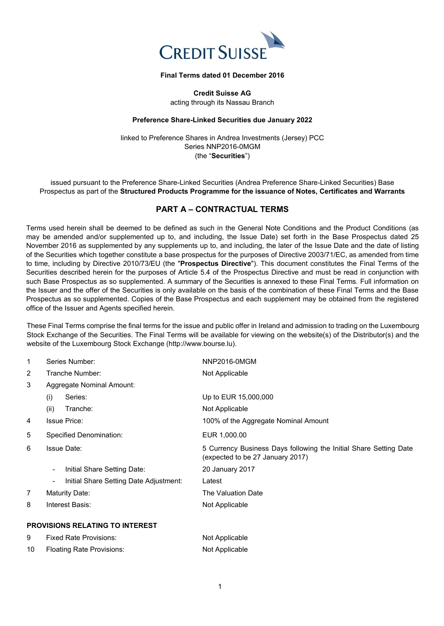

## **Final Terms dated 01 December 2016**

**Credit Suisse AG** acting through its Nassau Branch

## **Preference Share-Linked Securities due January 2022**

linked to Preference Shares in Andrea Investments (Jersey) PCC Series NNP2016-0MGM (the "**Securities**")

issued pursuant to the Preference Share-Linked Securities (Andrea Preference Share-Linked Securities) Base Prospectus as part of the **Structured Products Programme for the issuance of Notes, Certificates and Warrants**

# **PART A – CONTRACTUAL TERMS**

Terms used herein shall be deemed to be defined as such in the General Note Conditions and the Product Conditions (as may be amended and/or supplemented up to, and including, the Issue Date) set forth in the Base Prospectus dated 25 November 2016 as supplemented by any supplements up to, and including, the later of the Issue Date and the date of listing of the Securities which together constitute a base prospectus for the purposes of Directive 2003/71/EC, as amended from time to time, including by Directive 2010/73/EU (the "**Prospectus Directive**"). This document constitutes the Final Terms of the Securities described herein for the purposes of Article 5.4 of the Prospectus Directive and must be read in conjunction with such Base Prospectus as so supplemented. A summary of the Securities is annexed to these Final Terms. Full information on the Issuer and the offer of the Securities is only available on the basis of the combination of these Final Terms and the Base Prospectus as so supplemented. Copies of the Base Prospectus and each supplement may be obtained from the registered office of the Issuer and Agents specified herein.

These Final Terms comprise the final terms for the issue and public offer in Ireland and admission to trading on the Luxembourg Stock Exchange of the Securities. The Final Terms will be available for viewing on the website(s) of the Distributor(s) and the website of the Luxembourg Stock Exchange (http://www.bourse.lu).

| 1              | Series Number:                                                     | NNP2016-0MGM                                                                                          |
|----------------|--------------------------------------------------------------------|-------------------------------------------------------------------------------------------------------|
| $\overline{2}$ | Tranche Number:                                                    | Not Applicable                                                                                        |
| 3              | Aggregate Nominal Amount:                                          |                                                                                                       |
|                | (i)<br>Series:                                                     | Up to EUR 15,000,000                                                                                  |
|                | (ii)<br>Tranche:                                                   | Not Applicable                                                                                        |
| 4              | <b>Issue Price:</b>                                                | 100% of the Aggregate Nominal Amount                                                                  |
| 5              | Specified Denomination:                                            | EUR 1,000.00                                                                                          |
| 6              | <b>Issue Date:</b>                                                 | 5 Currency Business Days following the Initial Share Setting Date<br>(expected to be 27 January 2017) |
|                | Initial Share Setting Date:<br>$\overline{\phantom{a}}$            | 20 January 2017                                                                                       |
|                | Initial Share Setting Date Adjustment:<br>$\overline{\phantom{0}}$ | Latest                                                                                                |
| $\overline{7}$ | Maturity Date:                                                     | The Valuation Date                                                                                    |
| 8              | Interest Basis:                                                    | Not Applicable                                                                                        |
|                | <b>PROVISIONS RELATING TO INTEREST</b>                             |                                                                                                       |

| 9   | <b>Fixed Rate Provisions:</b> | Not Applicable |
|-----|-------------------------------|----------------|
| -10 | Floating Rate Provisions:     | Not Applicable |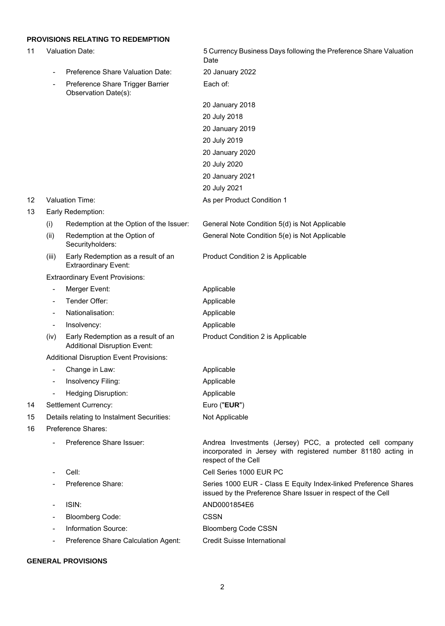# **PROVISIONS RELATING TO REDEMPTION**

|    |                              | <b>PROVISIONS RELATING TO REDEMPTION</b>                                  |                                                                                                                                                   |  |  |
|----|------------------------------|---------------------------------------------------------------------------|---------------------------------------------------------------------------------------------------------------------------------------------------|--|--|
| 11 |                              | <b>Valuation Date:</b>                                                    | 5 Currency Business Days following the Preference Share Valuation<br>Date                                                                         |  |  |
|    | $\overline{\phantom{a}}$     | Preference Share Valuation Date:                                          | 20 January 2022                                                                                                                                   |  |  |
|    | $\overline{\phantom{a}}$     | Preference Share Trigger Barrier<br>Observation Date(s):                  | Each of:                                                                                                                                          |  |  |
|    |                              |                                                                           | 20 January 2018                                                                                                                                   |  |  |
|    |                              |                                                                           | 20 July 2018                                                                                                                                      |  |  |
|    |                              |                                                                           | 20 January 2019                                                                                                                                   |  |  |
|    |                              |                                                                           | 20 July 2019                                                                                                                                      |  |  |
|    |                              |                                                                           | 20 January 2020                                                                                                                                   |  |  |
|    |                              |                                                                           | 20 July 2020                                                                                                                                      |  |  |
|    |                              |                                                                           | 20 January 2021                                                                                                                                   |  |  |
|    |                              |                                                                           | 20 July 2021                                                                                                                                      |  |  |
| 12 |                              | Valuation Time:                                                           | As per Product Condition 1                                                                                                                        |  |  |
| 13 |                              | Early Redemption:                                                         |                                                                                                                                                   |  |  |
|    | (i)                          | Redemption at the Option of the Issuer:                                   | General Note Condition 5(d) is Not Applicable                                                                                                     |  |  |
|    | (ii)                         | Redemption at the Option of<br>Securityholders:                           | General Note Condition 5(e) is Not Applicable                                                                                                     |  |  |
|    | (iii)                        | Early Redemption as a result of an<br><b>Extraordinary Event:</b>         | Product Condition 2 is Applicable                                                                                                                 |  |  |
|    |                              | <b>Extraordinary Event Provisions:</b>                                    |                                                                                                                                                   |  |  |
|    | $\overline{\phantom{a}}$     | Merger Event:                                                             | Applicable                                                                                                                                        |  |  |
|    | $\overline{\phantom{a}}$     | Tender Offer:                                                             | Applicable                                                                                                                                        |  |  |
|    | $\overline{\phantom{a}}$     | Nationalisation:                                                          | Applicable                                                                                                                                        |  |  |
|    | $\qquad \qquad \blacksquare$ | Insolvency:                                                               | Applicable                                                                                                                                        |  |  |
|    | (iv)                         | Early Redemption as a result of an<br><b>Additional Disruption Event:</b> | Product Condition 2 is Applicable                                                                                                                 |  |  |
|    |                              | <b>Additional Disruption Event Provisions:</b>                            |                                                                                                                                                   |  |  |
|    |                              | Change in Law:                                                            | Applicable                                                                                                                                        |  |  |
|    |                              | Insolvency Filing:                                                        | Applicable                                                                                                                                        |  |  |
|    |                              | <b>Hedging Disruption:</b>                                                | Applicable                                                                                                                                        |  |  |
| 14 |                              | Settlement Currency:                                                      | Euro ("EUR")                                                                                                                                      |  |  |
| 15 |                              | Details relating to Instalment Securities:                                | Not Applicable                                                                                                                                    |  |  |
| 16 |                              | Preference Shares:                                                        |                                                                                                                                                   |  |  |
|    |                              | Preference Share Issuer:                                                  | Andrea Investments (Jersey) PCC, a protected cell company<br>incorporated in Jersey with registered number 81180 acting in<br>respect of the Cell |  |  |
|    | $\overline{a}$               | Cell:                                                                     | Cell Series 1000 EUR PC                                                                                                                           |  |  |
|    |                              | Preference Share:                                                         | Series 1000 EUR - Class E Equity Index-linked Preference Shares<br>issued by the Preference Share Issuer in respect of the Cell                   |  |  |
|    | $\overline{\phantom{a}}$     | ISIN:                                                                     | AND0001854E6                                                                                                                                      |  |  |
|    | $\overline{\phantom{a}}$     | <b>Bloomberg Code:</b>                                                    | <b>CSSN</b>                                                                                                                                       |  |  |
|    |                              | Information Source:                                                       | <b>Bloomberg Code CSSN</b>                                                                                                                        |  |  |
|    |                              | Preference Share Calculation Agent:                                       | <b>Credit Suisse International</b>                                                                                                                |  |  |

# **GENERAL PROVISIONS**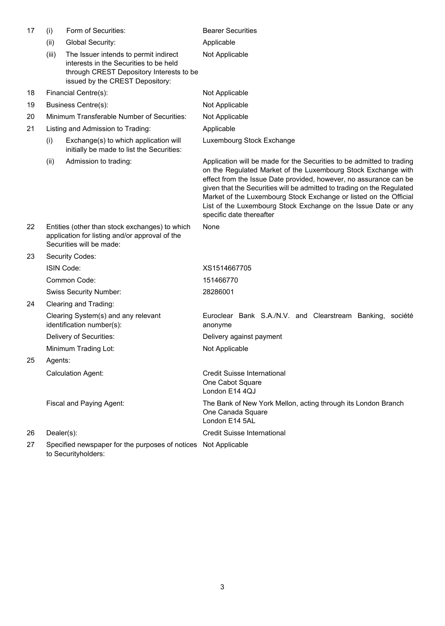| 17 | (i)                                                                                                                          | Form of Securities:                                                                                                                                            | <b>Bearer Securities</b>                                                                                                                                                                                                                                                                                                                                                                                                                                 |  |  |
|----|------------------------------------------------------------------------------------------------------------------------------|----------------------------------------------------------------------------------------------------------------------------------------------------------------|----------------------------------------------------------------------------------------------------------------------------------------------------------------------------------------------------------------------------------------------------------------------------------------------------------------------------------------------------------------------------------------------------------------------------------------------------------|--|--|
|    | (ii)                                                                                                                         | Global Security:                                                                                                                                               | Applicable                                                                                                                                                                                                                                                                                                                                                                                                                                               |  |  |
|    | (iii)                                                                                                                        | The Issuer intends to permit indirect<br>interests in the Securities to be held<br>through CREST Depository Interests to be<br>issued by the CREST Depository: | Not Applicable                                                                                                                                                                                                                                                                                                                                                                                                                                           |  |  |
| 18 |                                                                                                                              | Financial Centre(s):                                                                                                                                           | Not Applicable                                                                                                                                                                                                                                                                                                                                                                                                                                           |  |  |
| 19 |                                                                                                                              | <b>Business Centre(s):</b>                                                                                                                                     | Not Applicable                                                                                                                                                                                                                                                                                                                                                                                                                                           |  |  |
| 20 |                                                                                                                              | Minimum Transferable Number of Securities:                                                                                                                     | Not Applicable                                                                                                                                                                                                                                                                                                                                                                                                                                           |  |  |
| 21 |                                                                                                                              | Listing and Admission to Trading:                                                                                                                              | Applicable                                                                                                                                                                                                                                                                                                                                                                                                                                               |  |  |
|    | (i)                                                                                                                          | Exchange(s) to which application will<br>initially be made to list the Securities:                                                                             | Luxembourg Stock Exchange                                                                                                                                                                                                                                                                                                                                                                                                                                |  |  |
|    | (ii)                                                                                                                         | Admission to trading:                                                                                                                                          | Application will be made for the Securities to be admitted to trading<br>on the Regulated Market of the Luxembourg Stock Exchange with<br>effect from the Issue Date provided, however, no assurance can be<br>given that the Securities will be admitted to trading on the Regulated<br>Market of the Luxembourg Stock Exchange or listed on the Official<br>List of the Luxembourg Stock Exchange on the Issue Date or any<br>specific date thereafter |  |  |
| 22 | Entities (other than stock exchanges) to which<br>application for listing and/or approval of the<br>Securities will be made: |                                                                                                                                                                | None                                                                                                                                                                                                                                                                                                                                                                                                                                                     |  |  |
| 23 | Security Codes:                                                                                                              |                                                                                                                                                                |                                                                                                                                                                                                                                                                                                                                                                                                                                                          |  |  |
|    |                                                                                                                              | ISIN Code:                                                                                                                                                     | XS1514667705                                                                                                                                                                                                                                                                                                                                                                                                                                             |  |  |
|    |                                                                                                                              | Common Code:                                                                                                                                                   | 151466770                                                                                                                                                                                                                                                                                                                                                                                                                                                |  |  |
|    |                                                                                                                              | <b>Swiss Security Number:</b>                                                                                                                                  | 28286001                                                                                                                                                                                                                                                                                                                                                                                                                                                 |  |  |
| 24 |                                                                                                                              | Clearing and Trading:                                                                                                                                          |                                                                                                                                                                                                                                                                                                                                                                                                                                                          |  |  |
|    |                                                                                                                              | Clearing System(s) and any relevant<br>identification number(s):                                                                                               | Euroclear Bank S.A./N.V. and Clearstream Banking, société<br>anonyme                                                                                                                                                                                                                                                                                                                                                                                     |  |  |
|    | Delivery of Securities:                                                                                                      |                                                                                                                                                                | Delivery against payment                                                                                                                                                                                                                                                                                                                                                                                                                                 |  |  |
|    |                                                                                                                              | Minimum Trading Lot:                                                                                                                                           | Not Applicable                                                                                                                                                                                                                                                                                                                                                                                                                                           |  |  |
| 25 | Agents:                                                                                                                      |                                                                                                                                                                |                                                                                                                                                                                                                                                                                                                                                                                                                                                          |  |  |
|    |                                                                                                                              | <b>Calculation Agent:</b>                                                                                                                                      | <b>Credit Suisse International</b><br>One Cabot Square<br>London E14 4QJ                                                                                                                                                                                                                                                                                                                                                                                 |  |  |
|    |                                                                                                                              | Fiscal and Paying Agent:                                                                                                                                       | The Bank of New York Mellon, acting through its London Branch<br>One Canada Square<br>London E14 5AL                                                                                                                                                                                                                                                                                                                                                     |  |  |
| 26 | Dealer(s):                                                                                                                   |                                                                                                                                                                | <b>Credit Suisse International</b>                                                                                                                                                                                                                                                                                                                                                                                                                       |  |  |
| 27 |                                                                                                                              | Specified newspaper for the purposes of notices Not Applicable<br>to Securityholders:                                                                          |                                                                                                                                                                                                                                                                                                                                                                                                                                                          |  |  |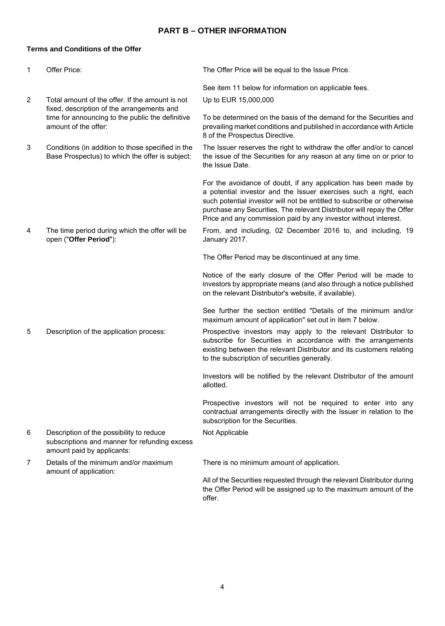# **PART B – OTHER INFORMATION**

# **Terms and Conditions of the Offer**

| 1              | Offer Price:                                                                                                            | The Offer Price will be equal to the Issue Price.                                                                                                                                                                                                                                                                                                          |
|----------------|-------------------------------------------------------------------------------------------------------------------------|------------------------------------------------------------------------------------------------------------------------------------------------------------------------------------------------------------------------------------------------------------------------------------------------------------------------------------------------------------|
|                |                                                                                                                         | See item 11 below for information on applicable fees.                                                                                                                                                                                                                                                                                                      |
| $\overline{2}$ | Total amount of the offer. If the amount is not<br>fixed, description of the arrangements and                           | Up to EUR 15,000,000                                                                                                                                                                                                                                                                                                                                       |
|                | time for announcing to the public the definitive<br>amount of the offer:                                                | To be determined on the basis of the demand for the Securities and<br>prevailing market conditions and published in accordance with Article<br>8 of the Prospectus Directive.                                                                                                                                                                              |
| 3              | Conditions (in addition to those specified in the<br>Base Prospectus) to which the offer is subject:                    | The Issuer reserves the right to withdraw the offer and/or to cancel<br>the issue of the Securities for any reason at any time on or prior to<br>the Issue Date.                                                                                                                                                                                           |
|                |                                                                                                                         | For the avoidance of doubt, if any application has been made by<br>a potential investor and the Issuer exercises such a right, each<br>such potential investor will not be entitled to subscribe or otherwise<br>purchase any Securities. The relevant Distributor will repay the Offer<br>Price and any commission paid by any investor without interest. |
| 4              | The time period during which the offer will be<br>open ("Offer Period"):                                                | From, and including, 02 December 2016 to, and including, 19<br>January 2017.                                                                                                                                                                                                                                                                               |
|                |                                                                                                                         | The Offer Period may be discontinued at any time.                                                                                                                                                                                                                                                                                                          |
|                |                                                                                                                         | Notice of the early closure of the Offer Period will be made to<br>investors by appropriate means (and also through a notice published<br>on the relevant Distributor's website, if available).                                                                                                                                                            |
|                |                                                                                                                         | See further the section entitled "Details of the minimum and/or<br>maximum amount of application" set out in item 7 below.                                                                                                                                                                                                                                 |
| 5              | Description of the application process:                                                                                 | Prospective investors may apply to the relevant Distributor to<br>subscribe for Securities in accordance with the arrangements<br>existing between the relevant Distributor and its customers relating<br>to the subscription of securities generally.                                                                                                     |
|                |                                                                                                                         | Investors will be notified by the relevant Distributor of the amount<br>allotted.                                                                                                                                                                                                                                                                          |
|                |                                                                                                                         | Prospective investors will not be required to enter into any<br>contractual arrangements directly with the Issuer in relation to the<br>subscription for the Securities.                                                                                                                                                                                   |
| 6              | Description of the possibility to reduce<br>subscriptions and manner for refunding excess<br>amount paid by applicants: | Not Applicable                                                                                                                                                                                                                                                                                                                                             |
| $\overline{7}$ | Details of the minimum and/or maximum<br>amount of application:                                                         | There is no minimum amount of application.                                                                                                                                                                                                                                                                                                                 |
|                |                                                                                                                         | All of the Securities requested through the relevant Distributor during<br>the Offer Period will be assigned up to the maximum amount of the<br>offer.                                                                                                                                                                                                     |
|                |                                                                                                                         |                                                                                                                                                                                                                                                                                                                                                            |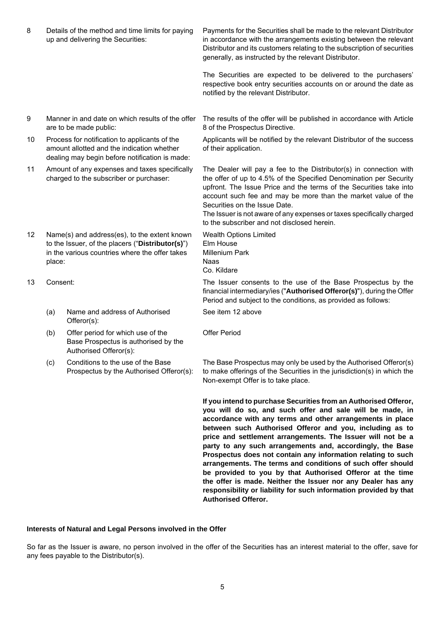| 8  |          | Details of the method and time limits for paying<br>up and delivering the Securities:                                                              | Payments for the Securities shall be made to the relevant Distributor<br>in accordance with the arrangements existing between the relevant<br>Distributor and its customers relating to the subscription of securities<br>generally, as instructed by the relevant Distributor.                                                                                                                                                                                                                                                                                                                                                                                                                                    |
|----|----------|----------------------------------------------------------------------------------------------------------------------------------------------------|--------------------------------------------------------------------------------------------------------------------------------------------------------------------------------------------------------------------------------------------------------------------------------------------------------------------------------------------------------------------------------------------------------------------------------------------------------------------------------------------------------------------------------------------------------------------------------------------------------------------------------------------------------------------------------------------------------------------|
|    |          |                                                                                                                                                    | The Securities are expected to be delivered to the purchasers'<br>respective book entry securities accounts on or around the date as<br>notified by the relevant Distributor.                                                                                                                                                                                                                                                                                                                                                                                                                                                                                                                                      |
| 9  |          | Manner in and date on which results of the offer<br>are to be made public:                                                                         | The results of the offer will be published in accordance with Article<br>8 of the Prospectus Directive.                                                                                                                                                                                                                                                                                                                                                                                                                                                                                                                                                                                                            |
| 10 |          | Process for notification to applicants of the<br>amount allotted and the indication whether<br>dealing may begin before notification is made:      | Applicants will be notified by the relevant Distributor of the success<br>of their application.                                                                                                                                                                                                                                                                                                                                                                                                                                                                                                                                                                                                                    |
| 11 |          | Amount of any expenses and taxes specifically<br>charged to the subscriber or purchaser:                                                           | The Dealer will pay a fee to the Distributor(s) in connection with<br>the offer of up to 4.5% of the Specified Denomination per Security<br>upfront. The Issue Price and the terms of the Securities take into<br>account such fee and may be more than the market value of the<br>Securities on the Issue Date.<br>The Issuer is not aware of any expenses or taxes specifically charged<br>to the subscriber and not disclosed herein.                                                                                                                                                                                                                                                                           |
| 12 | place:   | Name(s) and address(es), to the extent known<br>to the Issuer, of the placers ("Distributor(s)")<br>in the various countries where the offer takes | <b>Wealth Options Limited</b><br>Elm House<br>Millenium Park<br>Naas<br>Co. Kildare                                                                                                                                                                                                                                                                                                                                                                                                                                                                                                                                                                                                                                |
| 13 | Consent: |                                                                                                                                                    | The Issuer consents to the use of the Base Prospectus by the<br>financial intermediary/ies ("Authorised Offeror(s)"), during the Offer<br>Period and subject to the conditions, as provided as follows:                                                                                                                                                                                                                                                                                                                                                                                                                                                                                                            |
|    | (a)      | Name and address of Authorised<br>Offeror(s):                                                                                                      | See item 12 above                                                                                                                                                                                                                                                                                                                                                                                                                                                                                                                                                                                                                                                                                                  |
|    | (b)      | Offer period for which use of the<br>Base Prospectus is authorised by the<br>Authorised Offeror(s):                                                | <b>Offer Period</b>                                                                                                                                                                                                                                                                                                                                                                                                                                                                                                                                                                                                                                                                                                |
|    | (c)      | Conditions to the use of the Base<br>Prospectus by the Authorised Offeror(s):                                                                      | The Base Prospectus may only be used by the Authorised Offeror(s)<br>to make offerings of the Securities in the jurisdiction(s) in which the<br>Non-exempt Offer is to take place.                                                                                                                                                                                                                                                                                                                                                                                                                                                                                                                                 |
|    |          |                                                                                                                                                    | If you intend to purchase Securities from an Authorised Offeror,<br>you will do so, and such offer and sale will be made, in<br>accordance with any terms and other arrangements in place<br>between such Authorised Offeror and you, including as to<br>price and settlement arrangements. The Issuer will not be a<br>party to any such arrangements and, accordingly, the Base<br>Prospectus does not contain any information relating to such<br>arrangements. The terms and conditions of such offer should<br>be provided to you by that Authorised Offeror at the time<br>the offer is made. Neither the Issuer nor any Dealer has any<br>responsibility or liability for such information provided by that |

# **Interests of Natural and Legal Persons involved in the Offer**

So far as the Issuer is aware, no person involved in the offer of the Securities has an interest material to the offer, save for any fees payable to the Distributor(s).

**Authorised Offeror.**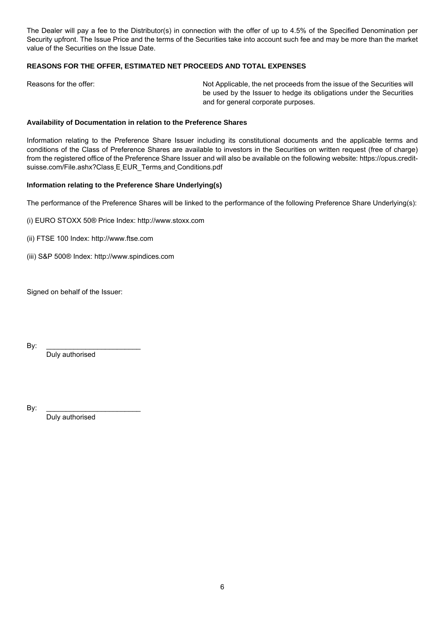The Dealer will pay a fee to the Distributor(s) in connection with the offer of up to 4.5% of the Specified Denomination per Security upfront. The Issue Price and the terms of the Securities take into account such fee and may be more than the market value of the Securities on the Issue Date.

# **REASONS FOR THE OFFER, ESTIMATED NET PROCEEDS AND TOTAL EXPENSES**

Reasons for the offer: Not Applicable, the net proceeds from the issue of the Securities will be used by the Issuer to hedge its obligations under the Securities and for general corporate purposes.

#### **Availability of Documentation in relation to the Preference Shares**

Information relating to the Preference Share Issuer including its constitutional documents and the applicable terms and conditions of the Class of Preference Shares are available to investors in the Securities on written request (free of charge) from the registered office of the Preference Share Issuer and will also be available on the following website: https://opus.creditsuisse.com/File.ashx?Class E EUR\_Terms and Conditions.pdf

#### **Information relating to the Preference Share Underlying(s)**

The performance of the Preference Shares will be linked to the performance of the following Preference Share Underlying(s):

- (i) EURO STOXX 50® Price Index: http://www.stoxx.com
- (ii) FTSE 100 Index: http://www.ftse.com
- (iii) S&P 500® Index: http://www.spindices.com

Signed on behalf of the Issuer:

By: \_\_\_\_\_\_\_\_\_\_\_\_\_\_\_\_\_\_\_\_\_\_\_\_

Duly authorised

By: \_\_\_\_\_\_\_\_\_\_\_\_\_\_\_\_\_\_\_\_\_\_\_\_

Duly authorised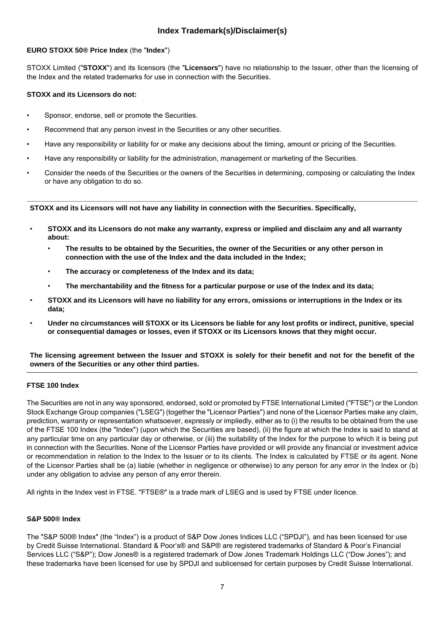# **Index Trademark(s)/Disclaimer(s)**

# **EURO STOXX 50® Price Index** (the "**Index**")

STOXX Limited ("**STOXX**") and its licensors (the "**Licensors**") have no relationship to the Issuer, other than the licensing of the Index and the related trademarks for use in connection with the Securities.

# **STOXX and its Licensors do not:**

- Sponsor, endorse, sell or promote the Securities.
- Recommend that any person invest in the Securities or any other securities.
- Have any responsibility or liability for or make any decisions about the timing, amount or pricing of the Securities.
- Have any responsibility or liability for the administration, management or marketing of the Securities.
- Consider the needs of the Securities or the owners of the Securities in determining, composing or calculating the Index or have any obligation to do so.

**STOXX and its Licensors will not have any liability in connection with the Securities. Specifically,**

- **STOXX and its Licensors do not make any warranty, express or implied and disclaim any and all warranty about:**
	- **The results to be obtained by the Securities, the owner of the Securities or any other person in connection with the use of the Index and the data included in the Index;**
	- **The accuracy or completeness of the Index and its data;**
	- **The merchantability and the fitness for a particular purpose or use of the Index and its data;**
- **STOXX and its Licensors will have no liability for any errors, omissions or interruptions in the Index or its data;**
- **Under no circumstances will STOXX or its Licensors be liable for any lost profits or indirect, punitive, special or consequential damages or losses, even if STOXX or its Licensors knows that they might occur.**

**The licensing agreement between the Issuer and STOXX is solely for their benefit and not for the benefit of the owners of the Securities or any other third parties.**

# **FTSE 100 Index**

The Securities are not in any way sponsored, endorsed, sold or promoted by FTSE International Limited ("FTSE") or the London Stock Exchange Group companies ("LSEG") (together the "Licensor Parties") and none of the Licensor Parties make any claim, prediction, warranty or representation whatsoever, expressly or impliedly, either as to (i) the results to be obtained from the use of the FTSE 100 Index (the "Index") (upon which the Securities are based), (ii) the figure at which the Index is said to stand at any particular time on any particular day or otherwise, or (iii) the suitability of the Index for the purpose to which it is being put in connection with the Securities. None of the Licensor Parties have provided or will provide any financial or investment advice or recommendation in relation to the Index to the Issuer or to its clients. The Index is calculated by FTSE or its agent. None of the Licensor Parties shall be (a) liable (whether in negligence or otherwise) to any person for any error in the Index or (b) under any obligation to advise any person of any error therein.

All rights in the Index vest in FTSE. "FTSE®" is a trade mark of LSEG and is used by FTSE under licence.

### **S&P 500® Index**

The "S&P 500® Index" (the "Index") is a product of S&P Dow Jones Indices LLC ("SPDJI"), and has been licensed for use by Credit Suisse International. Standard & Poor's® and S&P® are registered trademarks of Standard & Poor's Financial Services LLC ("S&P"); Dow Jones® is a registered trademark of Dow Jones Trademark Holdings LLC ("Dow Jones"); and these trademarks have been licensed for use by SPDJI and sublicensed for certain purposes by Credit Suisse International.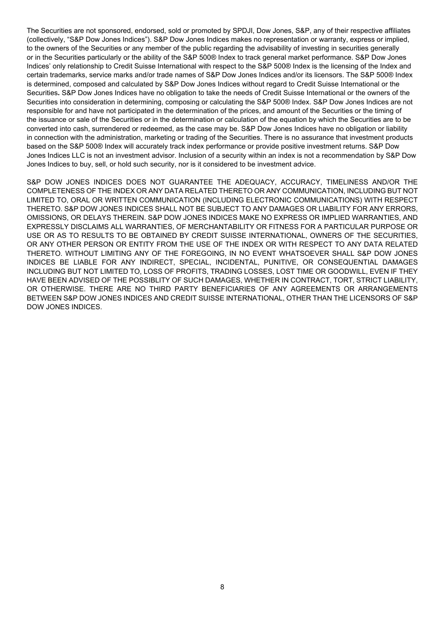The Securities are not sponsored, endorsed, sold or promoted by SPDJI, Dow Jones, S&P, any of their respective affiliates (collectively, "S&P Dow Jones Indices"). S&P Dow Jones Indices makes no representation or warranty, express or implied, to the owners of the Securities or any member of the public regarding the advisability of investing in securities generally or in the Securities particularly or the ability of the S&P 500® Index to track general market performance. S&P Dow Jones Indices' only relationship to Credit Suisse International with respect to the S&P 500® Index is the licensing of the Index and certain trademarks, service marks and/or trade names of S&P Dow Jones Indices and/or its licensors. The S&P 500® Index is determined, composed and calculated by S&P Dow Jones Indices without regard to Credit Suisse International or the Securities**.** S&P Dow Jones Indices have no obligation to take the needs of Credit Suisse International or the owners of the Securities into consideration in determining, composing or calculating the S&P 500® Index. S&P Dow Jones Indices are not responsible for and have not participated in the determination of the prices, and amount of the Securities or the timing of the issuance or sale of the Securities or in the determination or calculation of the equation by which the Securities are to be converted into cash, surrendered or redeemed, as the case may be. S&P Dow Jones Indices have no obligation or liability in connection with the administration, marketing or trading of the Securities. There is no assurance that investment products based on the S&P 500® Index will accurately track index performance or provide positive investment returns. S&P Dow Jones Indices LLC is not an investment advisor. Inclusion of a security within an index is not a recommendation by S&P Dow Jones Indices to buy, sell, or hold such security, nor is it considered to be investment advice.

S&P DOW JONES INDICES DOES NOT GUARANTEE THE ADEQUACY, ACCURACY, TIMELINESS AND/OR THE COMPLETENESS OF THE INDEX OR ANY DATA RELATED THERETO OR ANY COMMUNICATION, INCLUDING BUT NOT LIMITED TO, ORAL OR WRITTEN COMMUNICATION (INCLUDING ELECTRONIC COMMUNICATIONS) WITH RESPECT THERETO. S&P DOW JONES INDICES SHALL NOT BE SUBJECT TO ANY DAMAGES OR LIABILITY FOR ANY ERRORS, OMISSIONS, OR DELAYS THEREIN. S&P DOW JONES INDICES MAKE NO EXPRESS OR IMPLIED WARRANTIES, AND EXPRESSLY DISCLAIMS ALL WARRANTIES, OF MERCHANTABILITY OR FITNESS FOR A PARTICULAR PURPOSE OR USE OR AS TO RESULTS TO BE OBTAINED BY CREDIT SUISSE INTERNATIONAL, OWNERS OF THE SECURITIES, OR ANY OTHER PERSON OR ENTITY FROM THE USE OF THE INDEX OR WITH RESPECT TO ANY DATA RELATED THERETO. WITHOUT LIMITING ANY OF THE FOREGOING, IN NO EVENT WHATSOEVER SHALL S&P DOW JONES INDICES BE LIABLE FOR ANY INDIRECT, SPECIAL, INCIDENTAL, PUNITIVE, OR CONSEQUENTIAL DAMAGES INCLUDING BUT NOT LIMITED TO, LOSS OF PROFITS, TRADING LOSSES, LOST TIME OR GOODWILL, EVEN IF THEY HAVE BEEN ADVISED OF THE POSSIBLITY OF SUCH DAMAGES, WHETHER IN CONTRACT, TORT, STRICT LIABILITY, OR OTHERWISE. THERE ARE NO THIRD PARTY BENEFICIARIES OF ANY AGREEMENTS OR ARRANGEMENTS BETWEEN S&P DOW JONES INDICES AND CREDIT SUISSE INTERNATIONAL, OTHER THAN THE LICENSORS OF S&P DOW JONES INDICES.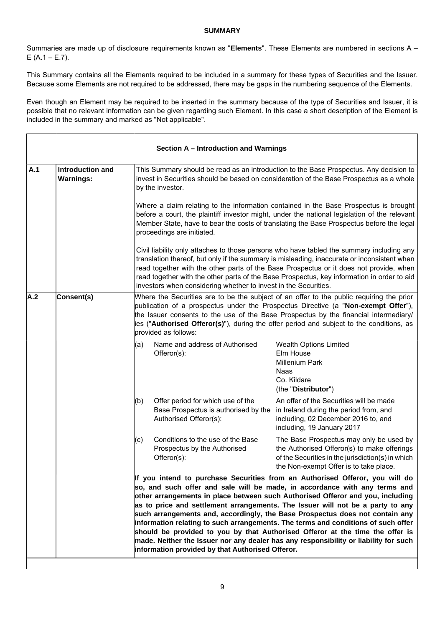### **SUMMARY**

Summaries are made up of disclosure requirements known as "**Elements**". These Elements are numbered in sections A –  $E (A.1 - E.7)$ .

This Summary contains all the Elements required to be included in a summary for these types of Securities and the Issuer. Because some Elements are not required to be addressed, there may be gaps in the numbering sequence of the Elements.

Even though an Element may be required to be inserted in the summary because of the type of Securities and Issuer, it is possible that no relevant information can be given regarding such Element. In this case a short description of the Element is included in the summary and marked as "Not applicable".

|                                                                                                                                                                                                                                                                                                                                                                                                                 |                                      |     | Section A - Introduction and Warnings                                                               |                                                                                                                                                                                                                                                                                                                                                                                                                                                                                                                                                                                                                                                                              |
|-----------------------------------------------------------------------------------------------------------------------------------------------------------------------------------------------------------------------------------------------------------------------------------------------------------------------------------------------------------------------------------------------------------------|--------------------------------------|-----|-----------------------------------------------------------------------------------------------------|------------------------------------------------------------------------------------------------------------------------------------------------------------------------------------------------------------------------------------------------------------------------------------------------------------------------------------------------------------------------------------------------------------------------------------------------------------------------------------------------------------------------------------------------------------------------------------------------------------------------------------------------------------------------------|
| A.1                                                                                                                                                                                                                                                                                                                                                                                                             | Introduction and<br><b>Warnings:</b> |     | by the investor.                                                                                    | This Summary should be read as an introduction to the Base Prospectus. Any decision to<br>invest in Securities should be based on consideration of the Base Prospectus as a whole                                                                                                                                                                                                                                                                                                                                                                                                                                                                                            |
|                                                                                                                                                                                                                                                                                                                                                                                                                 |                                      |     | proceedings are initiated.                                                                          | Where a claim relating to the information contained in the Base Prospectus is brought<br>before a court, the plaintiff investor might, under the national legislation of the relevant<br>Member State, have to bear the costs of translating the Base Prospectus before the legal                                                                                                                                                                                                                                                                                                                                                                                            |
|                                                                                                                                                                                                                                                                                                                                                                                                                 |                                      |     | investors when considering whether to invest in the Securities.                                     | Civil liability only attaches to those persons who have tabled the summary including any<br>translation thereof, but only if the summary is misleading, inaccurate or inconsistent when<br>read together with the other parts of the Base Prospectus or it does not provide, when<br>read together with the other parts of the Base Prospectus, key information in order to aid                                                                                                                                                                                                                                                                                              |
| A.2<br>Consent(s)<br>Where the Securities are to be the subject of an offer to the public requiring the prior<br>publication of a prospectus under the Prospectus Directive (a "Non-exempt Offer"),<br>the Issuer consents to the use of the Base Prospectus by the financial intermediary/<br>ies ("Authorised Offeror(s)"), during the offer period and subject to the conditions, as<br>provided as follows: |                                      |     |                                                                                                     |                                                                                                                                                                                                                                                                                                                                                                                                                                                                                                                                                                                                                                                                              |
|                                                                                                                                                                                                                                                                                                                                                                                                                 |                                      | (a) | Name and address of Authorised<br>Offeror(s):                                                       | Wealth Options Limited<br>Elm House<br><b>Millenium Park</b><br>Naas<br>Co. Kildare<br>(the "Distributor")                                                                                                                                                                                                                                                                                                                                                                                                                                                                                                                                                                   |
|                                                                                                                                                                                                                                                                                                                                                                                                                 |                                      | (b) | Offer period for which use of the<br>Base Prospectus is authorised by the<br>Authorised Offeror(s): | An offer of the Securities will be made<br>in Ireland during the period from, and<br>including, 02 December 2016 to, and<br>including, 19 January 2017                                                                                                                                                                                                                                                                                                                                                                                                                                                                                                                       |
|                                                                                                                                                                                                                                                                                                                                                                                                                 |                                      | (c) | Conditions to the use of the Base<br>Prospectus by the Authorised<br>Offeror(s):                    | The Base Prospectus may only be used by<br>the Authorised Offeror(s) to make offerings<br>of the Securities in the jurisdiction(s) in which<br>the Non-exempt Offer is to take place.                                                                                                                                                                                                                                                                                                                                                                                                                                                                                        |
|                                                                                                                                                                                                                                                                                                                                                                                                                 |                                      |     | information provided by that Authorised Offeror.                                                    | If you intend to purchase Securities from an Authorised Offeror, you will do<br>so, and such offer and sale will be made, in accordance with any terms and<br>other arrangements in place between such Authorised Offeror and you, including<br>as to price and settlement arrangements. The Issuer will not be a party to any<br>such arrangements and, accordingly, the Base Prospectus does not contain any<br>information relating to such arrangements. The terms and conditions of such offer<br>should be provided to you by that Authorised Offeror at the time the offer is<br>made. Neither the Issuer nor any dealer has any responsibility or liability for such |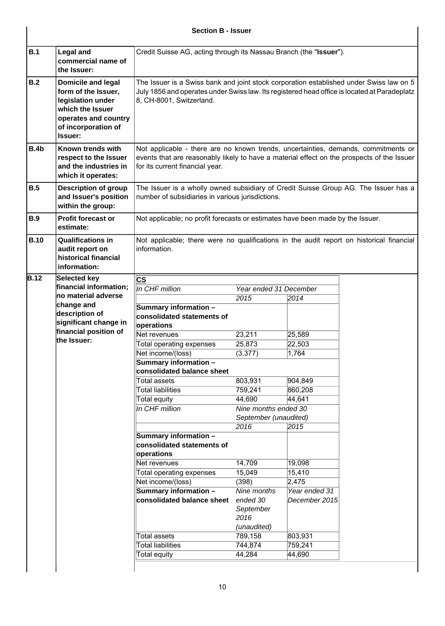# **Section B - Issuer**

| B.1         | <b>Legal and</b><br>commercial name of<br>the Issuer:                                                                                        | Credit Suisse AG, acting through its Nassau Branch (the "Issuer").                                                                                                                                                  |                                              |                   |  |
|-------------|----------------------------------------------------------------------------------------------------------------------------------------------|---------------------------------------------------------------------------------------------------------------------------------------------------------------------------------------------------------------------|----------------------------------------------|-------------------|--|
| B.2         | Domicile and legal<br>form of the Issuer,<br>legislation under<br>which the Issuer<br>operates and country<br>of incorporation of<br>Issuer: | The Issuer is a Swiss bank and joint stock corporation established under Swiss law on 5<br>July 1856 and operates under Swiss law. Its registered head office is located at Paradeplatz<br>8, CH-8001, Switzerland. |                                              |                   |  |
| B.4b        | Known trends with<br>respect to the Issuer<br>and the industries in<br>which it operates:                                                    | Not applicable - there are no known trends, uncertainties, demands, commitments or<br>events that are reasonably likely to have a material effect on the prospects of the Issuer<br>for its current financial year. |                                              |                   |  |
| B.5         | <b>Description of group</b><br>and Issuer's position<br>within the group:                                                                    | The Issuer is a wholly owned subsidiary of Credit Suisse Group AG. The Issuer has a<br>number of subsidiaries in various jurisdictions.                                                                             |                                              |                   |  |
| <b>B.9</b>  | <b>Profit forecast or</b><br>estimate:                                                                                                       | Not applicable; no profit forecasts or estimates have been made by the Issuer.                                                                                                                                      |                                              |                   |  |
| <b>B.10</b> | <b>Qualifications in</b><br>audit report on<br>historical financial<br>information:                                                          | Not applicable; there were no qualifications in the audit report on historical financial<br>information.                                                                                                            |                                              |                   |  |
| <b>B.12</b> | Selected key                                                                                                                                 | $\overline{\text{cs}}$                                                                                                                                                                                              |                                              |                   |  |
|             | financial information;                                                                                                                       | In CHF million                                                                                                                                                                                                      | Year ended 31 December                       |                   |  |
|             | no material adverse                                                                                                                          |                                                                                                                                                                                                                     | 2015                                         | 2014              |  |
|             | change and                                                                                                                                   | Summary information -                                                                                                                                                                                               |                                              |                   |  |
|             | description of                                                                                                                               | consolidated statements of                                                                                                                                                                                          |                                              |                   |  |
|             | significant change in                                                                                                                        |                                                                                                                                                                                                                     |                                              |                   |  |
|             | financial position of                                                                                                                        | operations                                                                                                                                                                                                          |                                              |                   |  |
|             | the Issuer:                                                                                                                                  | Net revenues                                                                                                                                                                                                        | 23,211                                       | 25,589            |  |
|             |                                                                                                                                              | <b>Total operating expenses</b>                                                                                                                                                                                     | 25,873                                       | 22,503            |  |
|             |                                                                                                                                              | Net income/(loss)                                                                                                                                                                                                   | (3, 377)                                     | 1,764             |  |
|             |                                                                                                                                              | Summary information -<br>consolidated balance sheet                                                                                                                                                                 |                                              |                   |  |
|             |                                                                                                                                              | Total assets                                                                                                                                                                                                        | 803,931                                      | 904,849           |  |
|             |                                                                                                                                              | <b>Total liabilities</b>                                                                                                                                                                                            | 759,241                                      | 860,208           |  |
|             |                                                                                                                                              | Total equity                                                                                                                                                                                                        | 44,690                                       | 44,641            |  |
|             |                                                                                                                                              | In CHF million                                                                                                                                                                                                      | Nine months ended 30                         |                   |  |
|             |                                                                                                                                              |                                                                                                                                                                                                                     | September (unaudited)                        |                   |  |
|             |                                                                                                                                              |                                                                                                                                                                                                                     | 2016                                         | 2015              |  |
|             |                                                                                                                                              | Summary information -<br>consolidated statements of<br>operations                                                                                                                                                   |                                              |                   |  |
|             |                                                                                                                                              | Net revenues                                                                                                                                                                                                        | 14,709                                       | 19,098            |  |
|             |                                                                                                                                              | Total operating expenses                                                                                                                                                                                            | 15,049                                       | 15,410            |  |
|             |                                                                                                                                              | Net income/(loss)                                                                                                                                                                                                   | (398)                                        | 2,475             |  |
|             |                                                                                                                                              | Summary information -                                                                                                                                                                                               | Nine months                                  | Year ended 31     |  |
|             |                                                                                                                                              | consolidated balance sheet                                                                                                                                                                                          | ended 30<br>September<br>2016<br>(unaudited) | December 2015     |  |
|             |                                                                                                                                              |                                                                                                                                                                                                                     |                                              |                   |  |
|             |                                                                                                                                              |                                                                                                                                                                                                                     |                                              |                   |  |
|             |                                                                                                                                              | Total assets<br><b>Total liabilities</b>                                                                                                                                                                            | 789,158                                      | 803,931           |  |
|             |                                                                                                                                              | Total equity                                                                                                                                                                                                        | 744,874<br>44,284                            | 759,241<br>44,690 |  |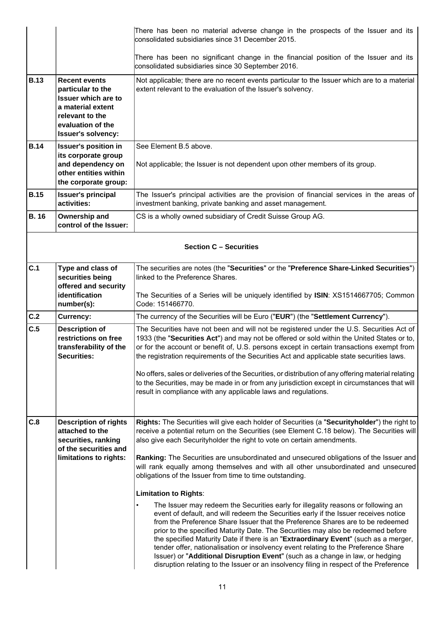|             |                                                                                                                                                                   | There has been no material adverse change in the prospects of the Issuer and its<br>consolidated subsidiaries since 31 December 2015.                                                                                                                                                                                                                                                                                                                                                                                                                                                                                                                                                                                                                                                                                                                                                                                                                                                                                                                                                                                                                                                                                                                                    |
|-------------|-------------------------------------------------------------------------------------------------------------------------------------------------------------------|--------------------------------------------------------------------------------------------------------------------------------------------------------------------------------------------------------------------------------------------------------------------------------------------------------------------------------------------------------------------------------------------------------------------------------------------------------------------------------------------------------------------------------------------------------------------------------------------------------------------------------------------------------------------------------------------------------------------------------------------------------------------------------------------------------------------------------------------------------------------------------------------------------------------------------------------------------------------------------------------------------------------------------------------------------------------------------------------------------------------------------------------------------------------------------------------------------------------------------------------------------------------------|
|             |                                                                                                                                                                   | There has been no significant change in the financial position of the Issuer and its<br>consolidated subsidiaries since 30 September 2016.                                                                                                                                                                                                                                                                                                                                                                                                                                                                                                                                                                                                                                                                                                                                                                                                                                                                                                                                                                                                                                                                                                                               |
| <b>B.13</b> | <b>Recent events</b><br>particular to the<br><b>Issuer which are to</b><br>a material extent<br>relevant to the<br>evaluation of the<br><b>Issuer's solvency:</b> | Not applicable; there are no recent events particular to the Issuer which are to a material<br>extent relevant to the evaluation of the Issuer's solvency.                                                                                                                                                                                                                                                                                                                                                                                                                                                                                                                                                                                                                                                                                                                                                                                                                                                                                                                                                                                                                                                                                                               |
| <b>B.14</b> | <b>Issuer's position in</b><br>its corporate group<br>and dependency on<br>other entities within<br>the corporate group:                                          | See Element B.5 above.<br>Not applicable; the Issuer is not dependent upon other members of its group.                                                                                                                                                                                                                                                                                                                                                                                                                                                                                                                                                                                                                                                                                                                                                                                                                                                                                                                                                                                                                                                                                                                                                                   |
| <b>B.15</b> | <b>Issuer's principal</b><br>activities:                                                                                                                          | The Issuer's principal activities are the provision of financial services in the areas of<br>investment banking, private banking and asset management.                                                                                                                                                                                                                                                                                                                                                                                                                                                                                                                                                                                                                                                                                                                                                                                                                                                                                                                                                                                                                                                                                                                   |
| <b>B.16</b> | Ownership and<br>control of the Issuer:                                                                                                                           | CS is a wholly owned subsidiary of Credit Suisse Group AG.                                                                                                                                                                                                                                                                                                                                                                                                                                                                                                                                                                                                                                                                                                                                                                                                                                                                                                                                                                                                                                                                                                                                                                                                               |
|             |                                                                                                                                                                   | <b>Section C - Securities</b>                                                                                                                                                                                                                                                                                                                                                                                                                                                                                                                                                                                                                                                                                                                                                                                                                                                                                                                                                                                                                                                                                                                                                                                                                                            |
| C.1         | Type and class of<br>securities being<br>offered and security<br>identification                                                                                   | The securities are notes (the "Securities" or the "Preference Share-Linked Securities")<br>linked to the Preference Shares.                                                                                                                                                                                                                                                                                                                                                                                                                                                                                                                                                                                                                                                                                                                                                                                                                                                                                                                                                                                                                                                                                                                                              |
|             | number(s):                                                                                                                                                        | The Securities of a Series will be uniquely identified by ISIN: XS1514667705; Common<br>Code: 151466770.                                                                                                                                                                                                                                                                                                                                                                                                                                                                                                                                                                                                                                                                                                                                                                                                                                                                                                                                                                                                                                                                                                                                                                 |
| C.2         | <b>Currency:</b>                                                                                                                                                  | The currency of the Securities will be Euro ("EUR") (the "Settlement Currency").                                                                                                                                                                                                                                                                                                                                                                                                                                                                                                                                                                                                                                                                                                                                                                                                                                                                                                                                                                                                                                                                                                                                                                                         |
| C.5         | <b>Description of</b><br>restrictions on free<br>transferability of the<br><b>Securities:</b>                                                                     | The Securities have not been and will not be registered under the U.S. Securities Act of<br>1933 (the "Securities Act") and may not be offered or sold within the United States or to,<br>or for the account or benefit of, U.S. persons except in certain transactions exempt from<br>the registration requirements of the Securities Act and applicable state securities laws.<br>No offers, sales or deliveries of the Securities, or distribution of any offering material relating<br>to the Securities, may be made in or from any jurisdiction except in circumstances that will<br>result in compliance with any applicable laws and regulations.                                                                                                                                                                                                                                                                                                                                                                                                                                                                                                                                                                                                                |
| C.8         | <b>Description of rights</b><br>attached to the<br>securities, ranking<br>of the securities and<br>limitations to rights:                                         | Rights: The Securities will give each holder of Securities (a "Securityholder") the right to<br>receive a potential return on the Securities (see Element C.18 below). The Securities will<br>also give each Securityholder the right to vote on certain amendments.<br>Ranking: The Securities are unsubordinated and unsecured obligations of the Issuer and<br>will rank equally among themselves and with all other unsubordinated and unsecured<br>obligations of the Issuer from time to time outstanding.<br><b>Limitation to Rights:</b><br>The Issuer may redeem the Securities early for illegality reasons or following an<br>$\bullet$<br>event of default, and will redeem the Securities early if the Issuer receives notice<br>from the Preference Share Issuer that the Preference Shares are to be redeemed<br>prior to the specified Maturity Date. The Securities may also be redeemed before<br>the specified Maturity Date if there is an "Extraordinary Event" (such as a merger,<br>tender offer, nationalisation or insolvency event relating to the Preference Share<br>Issuer) or "Additional Disruption Event" (such as a change in law, or hedging<br>disruption relating to the Issuer or an insolvency filing in respect of the Preference |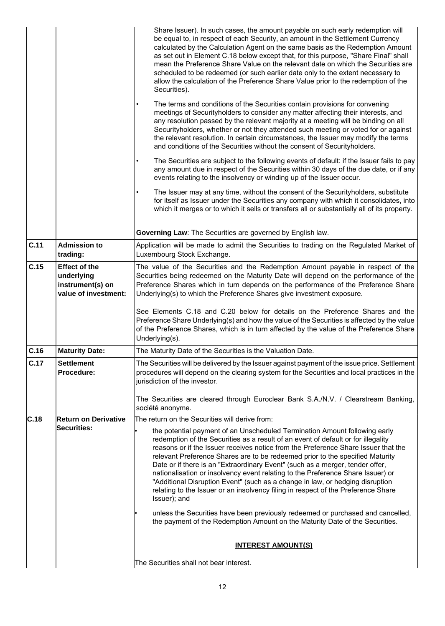|      |                                                                                | Share Issuer). In such cases, the amount payable on such early redemption will<br>be equal to, in respect of each Security, an amount in the Settlement Currency<br>calculated by the Calculation Agent on the same basis as the Redemption Amount<br>as set out in Element C.18 below except that, for this purpose, "Share Final" shall<br>mean the Preference Share Value on the relevant date on which the Securities are<br>scheduled to be redeemed (or such earlier date only to the extent necessary to<br>allow the calculation of the Preference Share Value prior to the redemption of the<br>Securities).                                                                            |
|------|--------------------------------------------------------------------------------|--------------------------------------------------------------------------------------------------------------------------------------------------------------------------------------------------------------------------------------------------------------------------------------------------------------------------------------------------------------------------------------------------------------------------------------------------------------------------------------------------------------------------------------------------------------------------------------------------------------------------------------------------------------------------------------------------|
|      |                                                                                | The terms and conditions of the Securities contain provisions for convening<br>meetings of Securityholders to consider any matter affecting their interests, and<br>any resolution passed by the relevant majority at a meeting will be binding on all<br>Securityholders, whether or not they attended such meeting or voted for or against<br>the relevant resolution. In certain circumstances, the Issuer may modify the terms<br>and conditions of the Securities without the consent of Securityholders.                                                                                                                                                                                   |
|      |                                                                                | The Securities are subject to the following events of default: if the Issuer fails to pay<br>any amount due in respect of the Securities within 30 days of the due date, or if any<br>events relating to the insolvency or winding up of the Issuer occur.                                                                                                                                                                                                                                                                                                                                                                                                                                       |
|      |                                                                                | The Issuer may at any time, without the consent of the Securityholders, substitute<br>for itself as Issuer under the Securities any company with which it consolidates, into<br>which it merges or to which it sells or transfers all or substantially all of its property.                                                                                                                                                                                                                                                                                                                                                                                                                      |
|      |                                                                                | Governing Law: The Securities are governed by English law.                                                                                                                                                                                                                                                                                                                                                                                                                                                                                                                                                                                                                                       |
| C.11 | <b>Admission to</b><br>trading:                                                | Application will be made to admit the Securities to trading on the Regulated Market of<br>Luxembourg Stock Exchange.                                                                                                                                                                                                                                                                                                                                                                                                                                                                                                                                                                             |
| C.15 | <b>Effect of the</b><br>underlying<br>instrument(s) on<br>value of investment: | The value of the Securities and the Redemption Amount payable in respect of the<br>Securities being redeemed on the Maturity Date will depend on the performance of the<br>Preference Shares which in turn depends on the performance of the Preference Share<br>Underlying(s) to which the Preference Shares give investment exposure.                                                                                                                                                                                                                                                                                                                                                          |
|      |                                                                                | See Elements C.18 and C.20 below for details on the Preference Shares and the<br>Preference Share Underlying(s) and how the value of the Securities is affected by the value<br>of the Preference Shares, which is in turn affected by the value of the Preference Share<br>Underlying(s).                                                                                                                                                                                                                                                                                                                                                                                                       |
| C.16 | <b>Maturity Date:</b>                                                          | The Maturity Date of the Securities is the Valuation Date.                                                                                                                                                                                                                                                                                                                                                                                                                                                                                                                                                                                                                                       |
| C.17 | <b>Settlement</b><br>Procedure:                                                | The Securities will be delivered by the Issuer against payment of the issue price. Settlement<br>procedures will depend on the clearing system for the Securities and local practices in the<br>jurisdiction of the investor.                                                                                                                                                                                                                                                                                                                                                                                                                                                                    |
|      |                                                                                | The Securities are cleared through Euroclear Bank S.A./N.V. / Clearstream Banking,<br>société anonyme.                                                                                                                                                                                                                                                                                                                                                                                                                                                                                                                                                                                           |
| C.18 | <b>Return on Derivative</b>                                                    | The return on the Securities will derive from:                                                                                                                                                                                                                                                                                                                                                                                                                                                                                                                                                                                                                                                   |
|      | Securities:                                                                    | the potential payment of an Unscheduled Termination Amount following early<br>redemption of the Securities as a result of an event of default or for illegality<br>reasons or if the Issuer receives notice from the Preference Share Issuer that the<br>relevant Preference Shares are to be redeemed prior to the specified Maturity<br>Date or if there is an "Extraordinary Event" (such as a merger, tender offer,<br>nationalisation or insolvency event relating to the Preference Share Issuer) or<br>"Additional Disruption Event" (such as a change in law, or hedging disruption<br>relating to the Issuer or an insolvency filing in respect of the Preference Share<br>Issuer); and |
|      |                                                                                | unless the Securities have been previously redeemed or purchased and cancelled,<br>the payment of the Redemption Amount on the Maturity Date of the Securities.                                                                                                                                                                                                                                                                                                                                                                                                                                                                                                                                  |
|      |                                                                                | <b>INTEREST AMOUNT(S)</b>                                                                                                                                                                                                                                                                                                                                                                                                                                                                                                                                                                                                                                                                        |
|      |                                                                                | The Securities shall not bear interest.                                                                                                                                                                                                                                                                                                                                                                                                                                                                                                                                                                                                                                                          |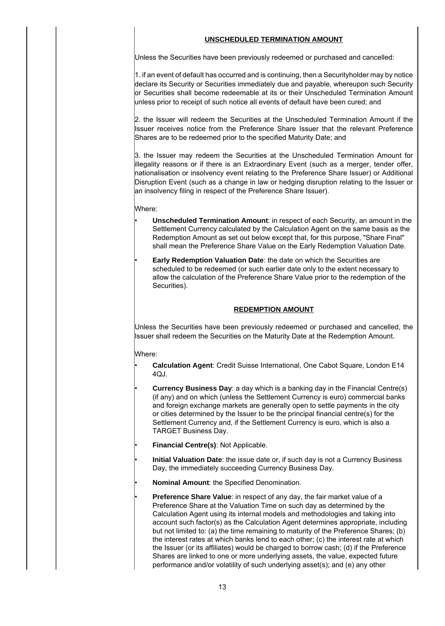### **UNSCHEDULED TERMINATION AMOUNT**

Unless the Securities have been previously redeemed or purchased and cancelled:

1. if an event of default has occurred and is continuing, then a Securityholder may by notice declare its Security or Securities immediately due and payable, whereupon such Security or Securities shall become redeemable at its or their Unscheduled Termination Amount unless prior to receipt of such notice all events of default have been cured; and

2. the Issuer will redeem the Securities at the Unscheduled Termination Amount if the Issuer receives notice from the Preference Share Issuer that the relevant Preference Shares are to be redeemed prior to the specified Maturity Date; and

3. the Issuer may redeem the Securities at the Unscheduled Termination Amount for illegality reasons or if there is an Extraordinary Event (such as a merger, tender offer, nationalisation or insolvency event relating to the Preference Share Issuer) or Additional Disruption Event (such as a change in law or hedging disruption relating to the Issuer or an insolvency filing in respect of the Preference Share Issuer).

Where:

- **Unscheduled Termination Amount**: in respect of each Security, an amount in the Settlement Currency calculated by the Calculation Agent on the same basis as the Redemption Amount as set out below except that, for this purpose, "Share Final" shall mean the Preference Share Value on the Early Redemption Valuation Date.
- **Early Redemption Valuation Date:** the date on which the Securities are scheduled to be redeemed (or such earlier date only to the extent necessary to allow the calculation of the Preference Share Value prior to the redemption of the Securities).

### **REDEMPTION AMOUNT**

Unless the Securities have been previously redeemed or purchased and cancelled, the Issuer shall redeem the Securities on the Maturity Date at the Redemption Amount.

Where:

- **Calculation Agent**: Credit Suisse International, One Cabot Square, London E14 4QJ.
	- **Currency Business Day:** a day which is a banking day in the Financial Centre(s) (if any) and on which (unless the Settlement Currency is euro) commercial banks and foreign exchange markets are generally open to settle payments in the city or cities determined by the Issuer to be the principal financial centre(s) for the Settlement Currency and, if the Settlement Currency is euro, which is also a TARGET Business Day.
	- **Financial Centre(s)**: Not Applicable.
- **Initial Valuation Date**: the issue date or, if such day is not a Currency Business Day, the immediately succeeding Currency Business Day.
- **Nominal Amount**: the Specified Denomination.
- **Preference Share Value:** in respect of any day, the fair market value of a Preference Share at the Valuation Time on such day as determined by the Calculation Agent using its internal models and methodologies and taking into account such factor(s) as the Calculation Agent determines appropriate, including but not limited to: (a) the time remaining to maturity of the Preference Shares; (b) the interest rates at which banks lend to each other; (c) the interest rate at which the Issuer (or its affiliates) would be charged to borrow cash; (d) if the Preference Shares are linked to one or more underlying assets, the value, expected future performance and/or volatility of such underlying asset(s); and (e) any other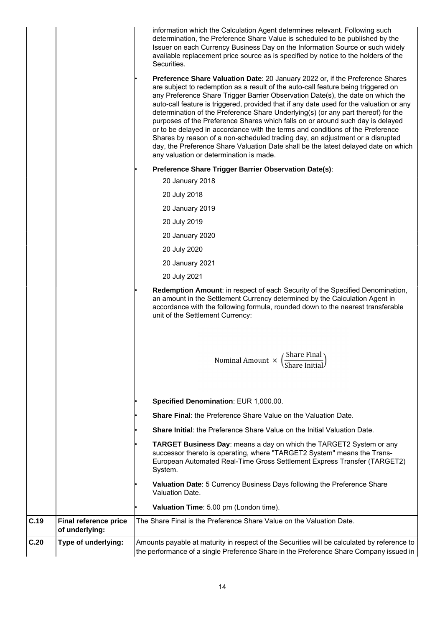|      |                                         | information which the Calculation Agent determines relevant. Following such<br>determination, the Preference Share Value is scheduled to be published by the<br>Issuer on each Currency Business Day on the Information Source or such widely<br>available replacement price source as is specified by notice to the holders of the<br>Securities.                                                                                                                                                                                                                                                                                                                                                                                                                                                                          |
|------|-----------------------------------------|-----------------------------------------------------------------------------------------------------------------------------------------------------------------------------------------------------------------------------------------------------------------------------------------------------------------------------------------------------------------------------------------------------------------------------------------------------------------------------------------------------------------------------------------------------------------------------------------------------------------------------------------------------------------------------------------------------------------------------------------------------------------------------------------------------------------------------|
|      |                                         | Preference Share Valuation Date: 20 January 2022 or, if the Preference Shares<br>are subject to redemption as a result of the auto-call feature being triggered on<br>any Preference Share Trigger Barrier Observation Date(s), the date on which the<br>auto-call feature is triggered, provided that if any date used for the valuation or any<br>determination of the Preference Share Underlying(s) (or any part thereof) for the<br>purposes of the Preference Shares which falls on or around such day is delayed<br>or to be delayed in accordance with the terms and conditions of the Preference<br>Shares by reason of a non-scheduled trading day, an adjustment or a disrupted<br>day, the Preference Share Valuation Date shall be the latest delayed date on which<br>any valuation or determination is made. |
|      |                                         | Preference Share Trigger Barrier Observation Date(s):                                                                                                                                                                                                                                                                                                                                                                                                                                                                                                                                                                                                                                                                                                                                                                       |
|      |                                         | 20 January 2018                                                                                                                                                                                                                                                                                                                                                                                                                                                                                                                                                                                                                                                                                                                                                                                                             |
|      |                                         | 20 July 2018                                                                                                                                                                                                                                                                                                                                                                                                                                                                                                                                                                                                                                                                                                                                                                                                                |
|      |                                         | 20 January 2019                                                                                                                                                                                                                                                                                                                                                                                                                                                                                                                                                                                                                                                                                                                                                                                                             |
|      |                                         | 20 July 2019                                                                                                                                                                                                                                                                                                                                                                                                                                                                                                                                                                                                                                                                                                                                                                                                                |
|      |                                         | 20 January 2020                                                                                                                                                                                                                                                                                                                                                                                                                                                                                                                                                                                                                                                                                                                                                                                                             |
|      |                                         | 20 July 2020                                                                                                                                                                                                                                                                                                                                                                                                                                                                                                                                                                                                                                                                                                                                                                                                                |
|      |                                         | 20 January 2021                                                                                                                                                                                                                                                                                                                                                                                                                                                                                                                                                                                                                                                                                                                                                                                                             |
|      |                                         | 20 July 2021                                                                                                                                                                                                                                                                                                                                                                                                                                                                                                                                                                                                                                                                                                                                                                                                                |
|      |                                         | Redemption Amount: in respect of each Security of the Specified Denomination,<br>an amount in the Settlement Currency determined by the Calculation Agent in<br>accordance with the following formula, rounded down to the nearest transferable<br>unit of the Settlement Currency:                                                                                                                                                                                                                                                                                                                                                                                                                                                                                                                                         |
|      |                                         | $\left(\frac{\text{Share Final}}{\text{SUSL}}\right)$<br>Nominal Amount $\,\times\,$                                                                                                                                                                                                                                                                                                                                                                                                                                                                                                                                                                                                                                                                                                                                        |
|      |                                         | Specified Denomination: EUR 1,000.00.                                                                                                                                                                                                                                                                                                                                                                                                                                                                                                                                                                                                                                                                                                                                                                                       |
|      |                                         | <b>Share Final: the Preference Share Value on the Valuation Date.</b>                                                                                                                                                                                                                                                                                                                                                                                                                                                                                                                                                                                                                                                                                                                                                       |
|      |                                         | <b>Share Initial:</b> the Preference Share Value on the Initial Valuation Date.                                                                                                                                                                                                                                                                                                                                                                                                                                                                                                                                                                                                                                                                                                                                             |
|      |                                         | TARGET Business Day: means a day on which the TARGET2 System or any<br>successor thereto is operating, where "TARGET2 System" means the Trans-<br>European Automated Real-Time Gross Settlement Express Transfer (TARGET2)<br>System.                                                                                                                                                                                                                                                                                                                                                                                                                                                                                                                                                                                       |
|      |                                         | Valuation Date: 5 Currency Business Days following the Preference Share<br>Valuation Date.                                                                                                                                                                                                                                                                                                                                                                                                                                                                                                                                                                                                                                                                                                                                  |
|      |                                         | Valuation Time: 5.00 pm (London time).                                                                                                                                                                                                                                                                                                                                                                                                                                                                                                                                                                                                                                                                                                                                                                                      |
| C.19 | Final reference price<br>of underlying: | The Share Final is the Preference Share Value on the Valuation Date.                                                                                                                                                                                                                                                                                                                                                                                                                                                                                                                                                                                                                                                                                                                                                        |
| C.20 | Type of underlying:                     | Amounts payable at maturity in respect of the Securities will be calculated by reference to<br>the performance of a single Preference Share in the Preference Share Company issued in                                                                                                                                                                                                                                                                                                                                                                                                                                                                                                                                                                                                                                       |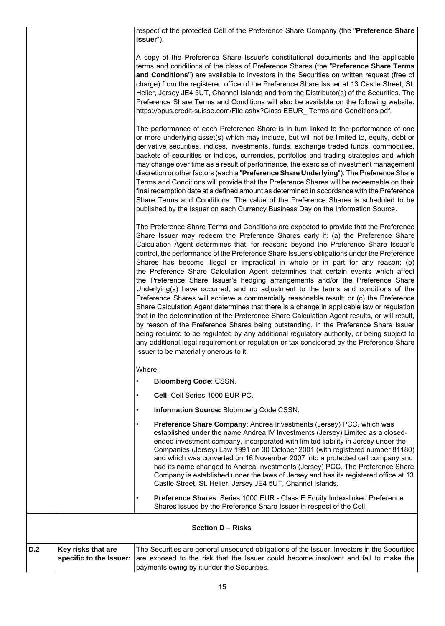respect of the protected Cell of the Preference Share Company (the "**Preference Share Issuer**").

A copy of the Preference Share Issuer's constitutional documents and the applicable terms and conditions of the class of Preference Shares (the "**Preference Share Terms and Conditions**") are available to investors in the Securities on written request (free of charge) from the registered office of the Preference Share Issuer at 13 Castle Street, St. Helier, Jersey JE4 5UT, Channel Islands and from the Distributor(s) of the Securities. The Preference Share Terms and Conditions will also be available on the following website: https://opus.credit-suisse.com/File.ashx?Class EEUR\_ Terms and Conditions.pdf.

The performance of each Preference Share is in turn linked to the performance of one or more underlying asset(s) which may include, but will not be limited to, equity, debt or derivative securities, indices, investments, funds, exchange traded funds, commodities, baskets of securities or indices, currencies, portfolios and trading strategies and which may change over time as a result of performance, the exercise of investment management discretion or other factors (each a "**Preference Share Underlying**"). The Preference Share Terms and Conditions will provide that the Preference Shares will be redeemable on their final redemption date at a defined amount as determined in accordance with the Preference Share Terms and Conditions. The value of the Preference Shares is scheduled to be published by the Issuer on each Currency Business Day on the Information Source.

The Preference Share Terms and Conditions are expected to provide that the Preference Share Issuer may redeem the Preference Shares early if: (a) the Preference Share Calculation Agent determines that, for reasons beyond the Preference Share Issuer's control, the performance of the Preference Share Issuer's obligations under the Preference Shares has become illegal or impractical in whole or in part for any reason; (b) the Preference Share Calculation Agent determines that certain events which affect the Preference Share Issuer's hedging arrangements and/or the Preference Share Underlying(s) have occurred, and no adjustment to the terms and conditions of the Preference Shares will achieve a commercially reasonable result; or (c) the Preference Share Calculation Agent determines that there is a change in applicable law or regulation that in the determination of the Preference Share Calculation Agent results, or will result, by reason of the Preference Shares being outstanding, in the Preference Share Issuer being required to be regulated by any additional regulatory authority, or being subject to any additional legal requirement or regulation or tax considered by the Preference Share Issuer to be materially onerous to it.

Where:

- **Bloomberg Code**: CSSN.
- **Cell**: Cell Series 1000 EUR PC.
- **Information Source:** Bloomberg Code CSSN.
- **Preference Share Company**: Andrea Investments (Jersey) PCC, which was established under the name Andrea IV Investments (Jersey) Limited as a closedended investment company, incorporated with limited liability in Jersey under the Companies (Jersey) Law 1991 on 30 October 2001 (with registered number 81180) and which was converted on 16 November 2007 into a protected cell company and had its name changed to Andrea Investments (Jersey) PCC. The Preference Share Company is established under the laws of Jersey and has its registered office at 13 Castle Street, St. Helier, Jersey JE4 5UT, Channel Islands.
- **Preference Shares**: Series 1000 EUR Class E Equity Index-linked Preference Shares issued by the Preference Share Issuer in respect of the Cell.

### **Section D – Risks**

| D.2 | Key risks that are | The Securities are general unsecured obligations of the Issuer. Investors in the Securities                 |
|-----|--------------------|-------------------------------------------------------------------------------------------------------------|
|     |                    | specific to the Issuer: are exposed to the risk that the Issuer could become insolvent and fail to make the |
|     |                    | payments owing by it under the Securities.                                                                  |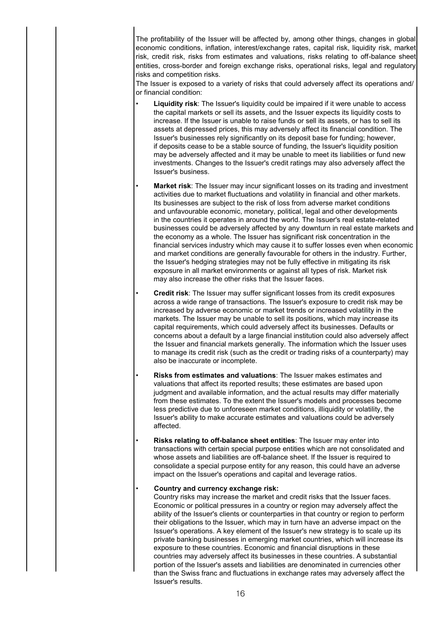The profitability of the Issuer will be affected by, among other things, changes in global economic conditions, inflation, interest/exchange rates, capital risk, liquidity risk, market risk, credit risk, risks from estimates and valuations, risks relating to off-balance sheet entities, cross-border and foreign exchange risks, operational risks, legal and regulatory risks and competition risks.

The Issuer is exposed to a variety of risks that could adversely affect its operations and/ or financial condition:

- **Liquidity risk**: The Issuer's liquidity could be impaired if it were unable to access the capital markets or sell its assets, and the Issuer expects its liquidity costs to increase. If the Issuer is unable to raise funds or sell its assets, or has to sell its assets at depressed prices, this may adversely affect its financial condition. The Issuer's businesses rely significantly on its deposit base for funding; however, if deposits cease to be a stable source of funding, the Issuer's liquidity position may be adversely affected and it may be unable to meet its liabilities or fund new investments. Changes to the Issuer's credit ratings may also adversely affect the Issuer's business.
- **Market risk**: The Issuer may incur significant losses on its trading and investment activities due to market fluctuations and volatility in financial and other markets. Its businesses are subject to the risk of loss from adverse market conditions and unfavourable economic, monetary, political, legal and other developments in the countries it operates in around the world. The Issuer's real estate-related businesses could be adversely affected by any downturn in real estate markets and the economy as a whole. The Issuer has significant risk concentration in the financial services industry which may cause it to suffer losses even when economic and market conditions are generally favourable for others in the industry. Further, the Issuer's hedging strategies may not be fully effective in mitigating its risk exposure in all market environments or against all types of risk. Market risk may also increase the other risks that the Issuer faces.
- **Credit risk**: The Issuer may suffer significant losses from its credit exposures across a wide range of transactions. The Issuer's exposure to credit risk may be increased by adverse economic or market trends or increased volatility in the markets. The Issuer may be unable to sell its positions, which may increase its capital requirements, which could adversely affect its businesses. Defaults or concerns about a default by a large financial institution could also adversely affect the Issuer and financial markets generally. The information which the Issuer uses to manage its credit risk (such as the credit or trading risks of a counterparty) may also be inaccurate or incomplete.
- **Risks from estimates and valuations**: The Issuer makes estimates and valuations that affect its reported results; these estimates are based upon judgment and available information, and the actual results may differ materially from these estimates. To the extent the Issuer's models and processes become less predictive due to unforeseen market conditions, illiquidity or volatility, the Issuer's ability to make accurate estimates and valuations could be adversely affected.
- **Risks relating to off-balance sheet entities**: The Issuer may enter into transactions with certain special purpose entities which are not consolidated and whose assets and liabilities are off-balance sheet. If the Issuer is required to consolidate a special purpose entity for any reason, this could have an adverse impact on the Issuer's operations and capital and leverage ratios.

### • **Country and currency exchange risk:**

Country risks may increase the market and credit risks that the Issuer faces. Economic or political pressures in a country or region may adversely affect the ability of the Issuer's clients or counterparties in that country or region to perform their obligations to the Issuer, which may in turn have an adverse impact on the Issuer's operations. A key element of the Issuer's new strategy is to scale up its private banking businesses in emerging market countries, which will increase its exposure to these countries. Economic and financial disruptions in these countries may adversely affect its businesses in these countries. A substantial portion of the Issuer's assets and liabilities are denominated in currencies other than the Swiss franc and fluctuations in exchange rates may adversely affect the Issuer's results.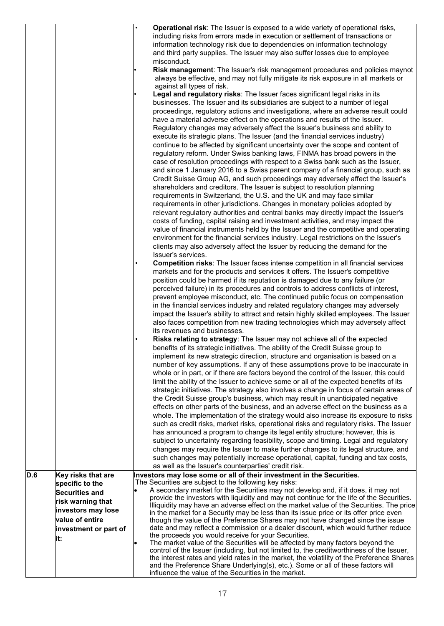|                  |                                                                                             | Operational risk: The Issuer is exposed to a wide variety of operational risks,<br>including risks from errors made in execution or settlement of transactions or<br>information technology risk due to dependencies on information technology<br>and third party supplies. The Issuer may also suffer losses due to employee<br>misconduct.<br>Risk management: The Issuer's risk management procedures and policies maynot<br>always be effective, and may not fully mitigate its risk exposure in all markets or                                                                                                                                                                                                                                                                                                                                                                                                                                                                                                                                                                                                                                                                                                                                                                                                                                                                                                                                                                                            |
|------------------|---------------------------------------------------------------------------------------------|----------------------------------------------------------------------------------------------------------------------------------------------------------------------------------------------------------------------------------------------------------------------------------------------------------------------------------------------------------------------------------------------------------------------------------------------------------------------------------------------------------------------------------------------------------------------------------------------------------------------------------------------------------------------------------------------------------------------------------------------------------------------------------------------------------------------------------------------------------------------------------------------------------------------------------------------------------------------------------------------------------------------------------------------------------------------------------------------------------------------------------------------------------------------------------------------------------------------------------------------------------------------------------------------------------------------------------------------------------------------------------------------------------------------------------------------------------------------------------------------------------------|
|                  |                                                                                             | against all types of risk.<br>Legal and regulatory risks: The Issuer faces significant legal risks in its<br>businesses. The Issuer and its subsidiaries are subject to a number of legal<br>proceedings, regulatory actions and investigations, where an adverse result could<br>have a material adverse effect on the operations and results of the Issuer.<br>Regulatory changes may adversely affect the Issuer's business and ability to<br>execute its strategic plans. The Issuer (and the financial services industry)<br>continue to be affected by significant uncertainty over the scope and content of<br>regulatory reform. Under Swiss banking laws, FINMA has broad powers in the<br>case of resolution proceedings with respect to a Swiss bank such as the Issuer,<br>and since 1 January 2016 to a Swiss parent company of a financial group, such as<br>Credit Suisse Group AG, and such proceedings may adversely affect the Issuer's<br>shareholders and creditors. The Issuer is subject to resolution planning<br>requirements in Switzerland, the U.S. and the UK and may face similar<br>requirements in other jurisdictions. Changes in monetary policies adopted by<br>relevant regulatory authorities and central banks may directly impact the Issuer's<br>costs of funding, capital raising and investment activities, and may impact the                                                                                                                                        |
|                  |                                                                                             | value of financial instruments held by the Issuer and the competitive and operating<br>environment for the financial services industry. Legal restrictions on the Issuer's<br>clients may also adversely affect the Issuer by reducing the demand for the<br>Issuer's services.<br><b>Competition risks:</b> The Issuer faces intense competition in all financial services<br>markets and for the products and services it offers. The Issuer's competitive<br>position could be harmed if its reputation is damaged due to any failure (or<br>perceived failure) in its procedures and controls to address conflicts of interest,<br>prevent employee misconduct, etc. The continued public focus on compensation<br>in the financial services industry and related regulatory changes may adversely<br>impact the Issuer's ability to attract and retain highly skilled employees. The Issuer                                                                                                                                                                                                                                                                                                                                                                                                                                                                                                                                                                                                               |
|                  |                                                                                             | also faces competition from new trading technologies which may adversely affect<br>its revenues and businesses.<br>Risks relating to strategy: The Issuer may not achieve all of the expected<br>benefits of its strategic initiatives. The ability of the Credit Suisse group to<br>implement its new strategic direction, structure and organisation is based on a<br>number of key assumptions. If any of these assumptions prove to be inaccurate in<br>whole or in part, or if there are factors beyond the control of the Issuer, this could<br>limit the ability of the Issuer to achieve some or all of the expected benefits of its<br>strategic initiatives. The strategy also involves a change in focus of certain areas of<br>the Credit Suisse group's business, which may result in unanticipated negative<br>effects on other parts of the business, and an adverse effect on the business as a<br>whole. The implementation of the strategy would also increase its exposure to risks<br>such as credit risks, market risks, operational risks and regulatory risks. The Issuer<br>has announced a program to change its legal entity structure; however, this is<br>subject to uncertainty regarding feasibility, scope and timing. Legal and regulatory<br>changes may require the Issuer to make further changes to its legal structure, and<br>such changes may potentially increase operational, capital, funding and tax costs,<br>as well as the Issuer's counterparties' credit risk. |
| $\overline{D.6}$ | Key risks that are<br>specific to the<br><b>Securities and</b>                              | Investors may lose some or all of their investment in the Securities.<br>The Securities are subject to the following key risks:<br>A secondary market for the Securities may not develop and, if it does, it may not                                                                                                                                                                                                                                                                                                                                                                                                                                                                                                                                                                                                                                                                                                                                                                                                                                                                                                                                                                                                                                                                                                                                                                                                                                                                                           |
|                  | risk warning that<br>investors may lose<br>value of entire<br>investment or part of<br>lit: | provide the investors with liquidity and may not continue for the life of the Securities.<br>Illiquidity may have an adverse effect on the market value of the Securities. The price<br>in the market for a Security may be less than its issue price or its offer price even<br>though the value of the Preference Shares may not have changed since the issue<br>date and may reflect a commission or a dealer discount, which would further reduce<br>the proceeds you would receive for your Securities.                                                                                                                                                                                                                                                                                                                                                                                                                                                                                                                                                                                                                                                                                                                                                                                                                                                                                                                                                                                                   |
|                  |                                                                                             | The market value of the Securities will be affected by many factors beyond the<br>control of the Issuer (including, but not limited to, the creditworthiness of the Issuer,<br>the interest rates and yield rates in the market, the volatility of the Preference Shares<br>and the Preference Share Underlying(s), etc.). Some or all of these factors will<br>influence the value of the Securities in the market.                                                                                                                                                                                                                                                                                                                                                                                                                                                                                                                                                                                                                                                                                                                                                                                                                                                                                                                                                                                                                                                                                           |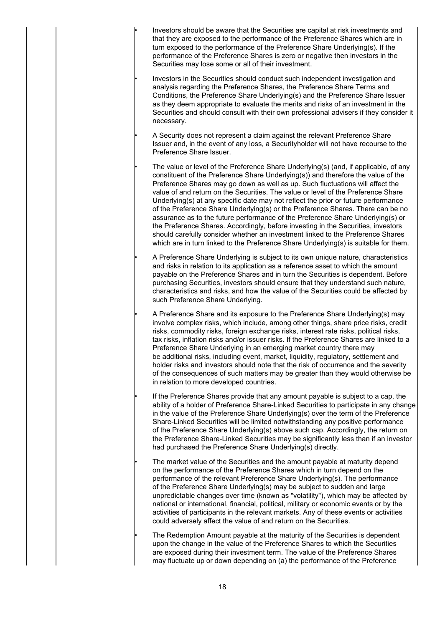• Investors should be aware that the Securities are capital at risk investments and that they are exposed to the performance of the Preference Shares which are in turn exposed to the performance of the Preference Share Underlying(s). If the performance of the Preference Shares is zero or negative then investors in the Securities may lose some or all of their investment.

• Investors in the Securities should conduct such independent investigation and analysis regarding the Preference Shares, the Preference Share Terms and Conditions, the Preference Share Underlying(s) and the Preference Share Issuer as they deem appropriate to evaluate the merits and risks of an investment in the Securities and should consult with their own professional advisers if they consider it necessary.

• A Security does not represent a claim against the relevant Preference Share Issuer and, in the event of any loss, a Securityholder will not have recourse to the Preference Share Issuer.

• The value or level of the Preference Share Underlying(s) (and, if applicable, of any constituent of the Preference Share Underlying(s)) and therefore the value of the Preference Shares may go down as well as up. Such fluctuations will affect the value of and return on the Securities. The value or level of the Preference Share Underlying(s) at any specific date may not reflect the prior or future performance of the Preference Share Underlying(s) or the Preference Shares. There can be no assurance as to the future performance of the Preference Share Underlying(s) or the Preference Shares. Accordingly, before investing in the Securities, investors should carefully consider whether an investment linked to the Preference Shares which are in turn linked to the Preference Share Underlying(s) is suitable for them.

• A Preference Share Underlying is subject to its own unique nature, characteristics and risks in relation to its application as a reference asset to which the amount payable on the Preference Shares and in turn the Securities is dependent. Before purchasing Securities, investors should ensure that they understand such nature, characteristics and risks, and how the value of the Securities could be affected by such Preference Share Underlying.

• A Preference Share and its exposure to the Preference Share Underlying(s) may involve complex risks, which include, among other things, share price risks, credit risks, commodity risks, foreign exchange risks, interest rate risks, political risks, tax risks, inflation risks and/or issuer risks. If the Preference Shares are linked to a Preference Share Underlying in an emerging market country there may be additional risks, including event, market, liquidity, regulatory, settlement and holder risks and investors should note that the risk of occurrence and the severity of the consequences of such matters may be greater than they would otherwise be in relation to more developed countries.

If the Preference Shares provide that any amount payable is subject to a cap, the ability of a holder of Preference Share-Linked Securities to participate in any change in the value of the Preference Share Underlying(s) over the term of the Preference Share-Linked Securities will be limited notwithstanding any positive performance of the Preference Share Underlying(s) above such cap. Accordingly, the return on the Preference Share-Linked Securities may be significantly less than if an investor had purchased the Preference Share Underlying(s) directly.

The market value of the Securities and the amount payable at maturity depend on the performance of the Preference Shares which in turn depend on the performance of the relevant Preference Share Underlying(s). The performance of the Preference Share Underlying(s) may be subject to sudden and large unpredictable changes over time (known as "volatility"), which may be affected by national or international, financial, political, military or economic events or by the activities of participants in the relevant markets. Any of these events or activities could adversely affect the value of and return on the Securities.

The Redemption Amount payable at the maturity of the Securities is dependent upon the change in the value of the Preference Shares to which the Securities are exposed during their investment term. The value of the Preference Shares may fluctuate up or down depending on (a) the performance of the Preference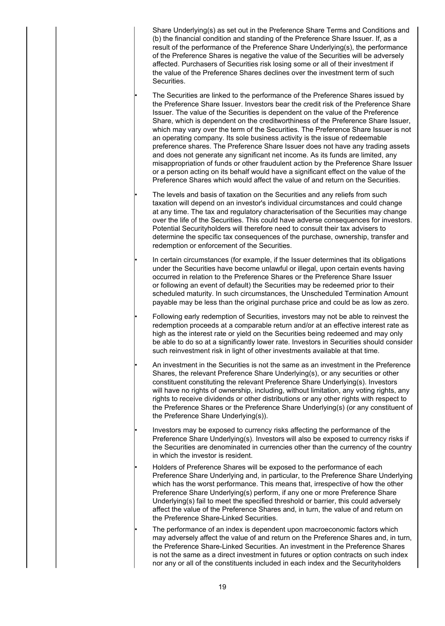Share Underlying(s) as set out in the Preference Share Terms and Conditions and (b) the financial condition and standing of the Preference Share Issuer. If, as a result of the performance of the Preference Share Underlying(s), the performance of the Preference Shares is negative the value of the Securities will be adversely affected. Purchasers of Securities risk losing some or all of their investment if the value of the Preference Shares declines over the investment term of such Securities.

• The Securities are linked to the performance of the Preference Shares issued by the Preference Share Issuer. Investors bear the credit risk of the Preference Share Issuer. The value of the Securities is dependent on the value of the Preference Share, which is dependent on the creditworthiness of the Preference Share Issuer, which may vary over the term of the Securities. The Preference Share Issuer is not an operating company. Its sole business activity is the issue of redeemable preference shares. The Preference Share Issuer does not have any trading assets and does not generate any significant net income. As its funds are limited, any misappropriation of funds or other fraudulent action by the Preference Share Issuer or a person acting on its behalf would have a significant effect on the value of the Preference Shares which would affect the value of and return on the Securities.

• The levels and basis of taxation on the Securities and any reliefs from such taxation will depend on an investor's individual circumstances and could change at any time. The tax and regulatory characterisation of the Securities may change over the life of the Securities. This could have adverse consequences for investors. Potential Securityholders will therefore need to consult their tax advisers to determine the specific tax consequences of the purchase, ownership, transfer and redemption or enforcement of the Securities.

In certain circumstances (for example, if the Issuer determines that its obligations under the Securities have become unlawful or illegal, upon certain events having occurred in relation to the Preference Shares or the Preference Share Issuer or following an event of default) the Securities may be redeemed prior to their scheduled maturity. In such circumstances, the Unscheduled Termination Amount payable may be less than the original purchase price and could be as low as zero.

• Following early redemption of Securities, investors may not be able to reinvest the redemption proceeds at a comparable return and/or at an effective interest rate as high as the interest rate or yield on the Securities being redeemed and may only be able to do so at a significantly lower rate. Investors in Securities should consider such reinvestment risk in light of other investments available at that time.

• An investment in the Securities is not the same as an investment in the Preference Shares, the relevant Preference Share Underlying(s), or any securities or other constituent constituting the relevant Preference Share Underlying(s). Investors will have no rights of ownership, including, without limitation, any voting rights, any rights to receive dividends or other distributions or any other rights with respect to the Preference Shares or the Preference Share Underlying(s) (or any constituent of the Preference Share Underlying(s)).

• Investors may be exposed to currency risks affecting the performance of the Preference Share Underlying(s). Investors will also be exposed to currency risks if the Securities are denominated in currencies other than the currency of the country in which the investor is resident.

• Holders of Preference Shares will be exposed to the performance of each Preference Share Underlying and, in particular, to the Preference Share Underlying which has the worst performance. This means that, irrespective of how the other Preference Share Underlying(s) perform, if any one or more Preference Share Underlying(s) fail to meet the specified threshold or barrier, this could adversely affect the value of the Preference Shares and, in turn, the value of and return on the Preference Share-Linked Securities.

The performance of an index is dependent upon macroeconomic factors which may adversely affect the value of and return on the Preference Shares and, in turn, the Preference Share-Linked Securities. An investment in the Preference Shares is not the same as a direct investment in futures or option contracts on such index nor any or all of the constituents included in each index and the Securityholders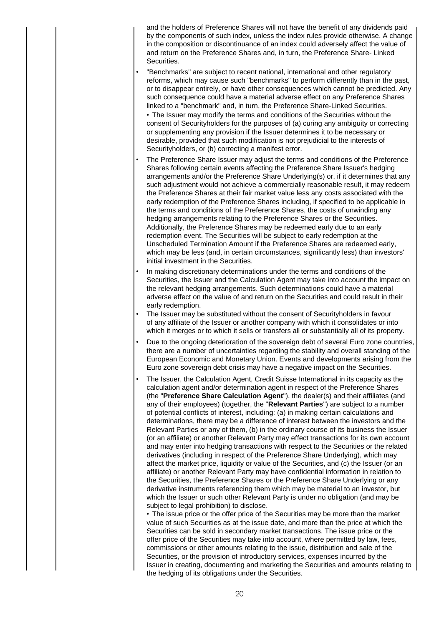and the holders of Preference Shares will not have the benefit of any dividends paid by the components of such index, unless the index rules provide otherwise. A change in the composition or discontinuance of an index could adversely affect the value of and return on the Preference Shares and, in turn, the Preference Share- Linked Securities.

- "Benchmarks" are subject to recent national, international and other regulatory reforms, which may cause such "benchmarks" to perform differently than in the past, or to disappear entirely, or have other consequences which cannot be predicted. Any such consequence could have a material adverse effect on any Preference Shares linked to a "benchmark" and, in turn, the Preference Share-Linked Securities. • The Issuer may modify the terms and conditions of the Securities without the consent of Securityholders for the purposes of (a) curing any ambiguity or correcting or supplementing any provision if the Issuer determines it to be necessary or desirable, provided that such modification is not prejudicial to the interests of Securityholders, or (b) correcting a manifest error.
- The Preference Share Issuer may adjust the terms and conditions of the Preference Shares following certain events affecting the Preference Share Issuer's hedging arrangements and/or the Preference Share Underlying(s) or, if it determines that any such adjustment would not achieve a commercially reasonable result, it may redeem the Preference Shares at their fair market value less any costs associated with the early redemption of the Preference Shares including, if specified to be applicable in the terms and conditions of the Preference Shares, the costs of unwinding any hedging arrangements relating to the Preference Shares or the Securities. Additionally, the Preference Shares may be redeemed early due to an early redemption event. The Securities will be subject to early redemption at the Unscheduled Termination Amount if the Preference Shares are redeemed early, which may be less (and, in certain circumstances, significantly less) than investors' initial investment in the Securities.
- In making discretionary determinations under the terms and conditions of the Securities, the Issuer and the Calculation Agent may take into account the impact on the relevant hedging arrangements. Such determinations could have a material adverse effect on the value of and return on the Securities and could result in their early redemption.
- The Issuer may be substituted without the consent of Securityholders in favour of any affiliate of the Issuer or another company with which it consolidates or into which it merges or to which it sells or transfers all or substantially all of its property.
- Due to the ongoing deterioration of the sovereign debt of several Euro zone countries, there are a number of uncertainties regarding the stability and overall standing of the European Economic and Monetary Union. Events and developments arising from the Euro zone sovereign debt crisis may have a negative impact on the Securities.
- The Issuer, the Calculation Agent, Credit Suisse International in its capacity as the calculation agent and/or determination agent in respect of the Preference Shares (the "**Preference Share Calculation Agent**"), the dealer(s) and their affiliates (and any of their employees) (together, the "**Relevant Parties**") are subject to a number of potential conflicts of interest, including: (a) in making certain calculations and determinations, there may be a difference of interest between the investors and the Relevant Parties or any of them, (b) in the ordinary course of its business the Issuer (or an affiliate) or another Relevant Party may effect transactions for its own account and may enter into hedging transactions with respect to the Securities or the related derivatives (including in respect of the Preference Share Underlying), which may affect the market price, liquidity or value of the Securities, and (c) the Issuer (or an affiliate) or another Relevant Party may have confidential information in relation to the Securities, the Preference Shares or the Preference Share Underlying or any derivative instruments referencing them which may be material to an investor, but which the Issuer or such other Relevant Party is under no obligation (and may be subject to legal prohibition) to disclose.

• The issue price or the offer price of the Securities may be more than the market value of such Securities as at the issue date, and more than the price at which the Securities can be sold in secondary market transactions. The issue price or the offer price of the Securities may take into account, where permitted by law, fees, commissions or other amounts relating to the issue, distribution and sale of the Securities, or the provision of introductory services, expenses incurred by the Issuer in creating, documenting and marketing the Securities and amounts relating to the hedging of its obligations under the Securities.